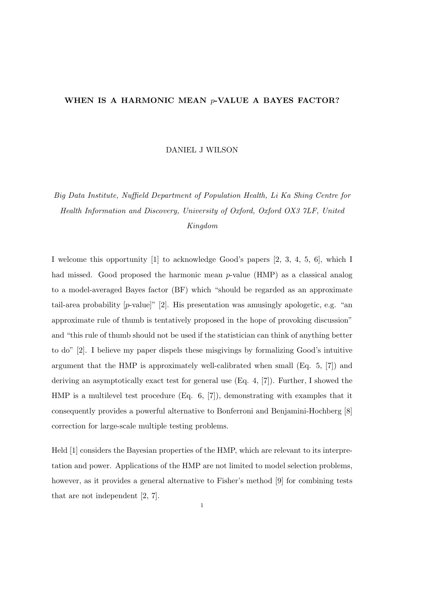## WHEN IS A HARMONIC MEAN p-VALUE A BAYES FACTOR?

DANIEL J WILSON

## Big Data Institute, Nuffield Department of Population Health, Li Ka Shing Centre for Health Information and Discovery, University of Oxford, Oxford OX3 7LF, United Kingdom

I welcome this opportunity [1] to acknowledge Good's papers [2, 3, 4, 5, 6], which I had missed. Good proposed the harmonic mean  $p$ -value (HMP) as a classical analog to a model-averaged Bayes factor (BF) which "should be regarded as an approximate tail-area probability  $[p$ -value<sup> $]$ "</sup> [2]. His presentation was amusingly apologetic, e.g. "an approximate rule of thumb is tentatively proposed in the hope of provoking discussion" and "this rule of thumb should not be used if the statistician can think of anything better to do" [2]. I believe my paper dispels these misgivings by formalizing Good's intuitive argument that the HMP is approximately well-calibrated when small  $(Eq. 5, 77)$  and deriving an asymptotically exact test for general use (Eq. 4, [7]). Further, I showed the HMP is a multilevel test procedure (Eq. 6, [7]), demonstrating with examples that it consequently provides a powerful alternative to Bonferroni and Benjamini-Hochberg [8] correction for large-scale multiple testing problems.

Held [1] considers the Bayesian properties of the HMP, which are relevant to its interpretation and power. Applications of the HMP are not limited to model selection problems, however, as it provides a general alternative to Fisher's method [9] for combining tests that are not independent [2, 7].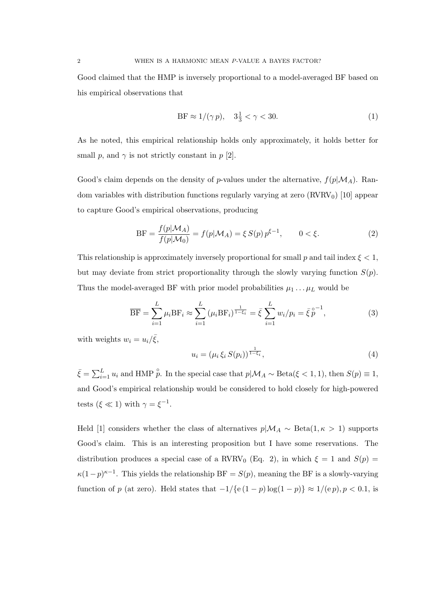Good claimed that the HMP is inversely proportional to a model-averaged BF based on his empirical observations that

$$
\text{BF} \approx 1/(\gamma p), \quad 3\frac{1}{3} < \gamma < 30. \tag{1}
$$

As he noted, this empirical relationship holds only approximately, it holds better for small p, and  $\gamma$  is not strictly constant in p [2].

Good's claim depends on the density of p-values under the alternative,  $f(p|M_A)$ . Random variables with distribution functions regularly varying at zero  $(RVRV_0)$  [10] appear to capture Good's empirical observations, producing

$$
BF = \frac{f(p|M_A)}{f(p|M_0)} = f(p|M_A) = \xi S(p) p^{\xi - 1}, \qquad 0 < \xi. \tag{2}
$$

This relationship is approximately inversely proportional for small p and tail index  $\xi < 1$ , but may deviate from strict proportionality through the slowly varying function  $S(p)$ . Thus the model-averaged BF with prior model probabilities  $\mu_1 \dots \mu_L$  would be

$$
\overline{BF} = \sum_{i=1}^{L} \mu_i BF_i \approx \sum_{i=1}^{L} (\mu_i BF_i)^{\frac{1}{1-\xi_i}} = \overline{\xi} \sum_{i=1}^{L} w_i / p_i = \overline{\xi} \, \overline{p}^{-1}, \tag{3}
$$

with weights  $w_i = u_i/\bar{\xi}$ ,

$$
u_i = (\mu_i \, \xi_i \, S(p_i))^{\frac{1}{1-\xi_i}},\tag{4}
$$

 $\bar{\xi} = \sum_{i=1}^{L} u_i$  and HMP  $\hat{p}$ . In the special case that  $p | \mathcal{M}_A \sim \text{Beta}(\xi \leq 1, 1)$ , then  $S(p) \equiv 1$ , and Good's empirical relationship would be considered to hold closely for high-powered tests  $(\xi \ll 1)$  with  $\gamma = \xi^{-1}$ .

Held [1] considers whether the class of alternatives  $p|\mathcal{M}_A \sim \text{Beta}(1,\kappa > 1)$  supports Good's claim. This is an interesting proposition but I have some reservations. The distribution produces a special case of a RVRV<sub>0</sub> (Eq. 2), in which  $\xi = 1$  and  $S(p) =$  $\kappa(1-p)^{\kappa-1}$ . This yields the relationship BF =  $S(p)$ , meaning the BF is a slowly-varying function of p (at zero). Held states that  $-1/\{e(1-p)\log(1-p)\} \approx 1/(e p)$ ,  $p < 0.1$ , is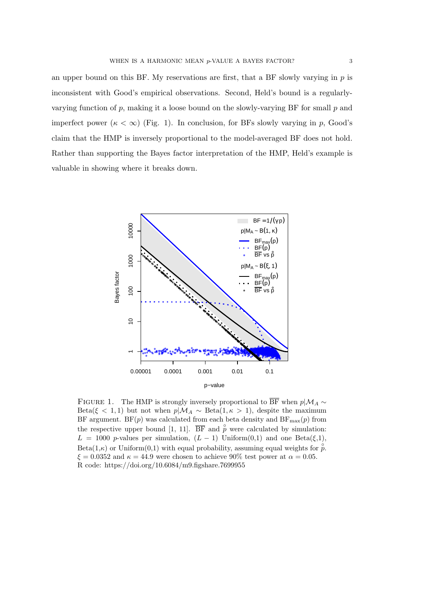an upper bound on this BF. My reservations are first, that a BF slowly varying in  $p$  is inconsistent with Good's empirical observations. Second, Held's bound is a regularlyvarying function of p, making it a loose bound on the slowly-varying BF for small p and imperfect power  $(\kappa < \infty)$  (Fig. 1). In conclusion, for BFs slowly varying in p, Good's claim that the HMP is inversely proportional to the model-averaged BF does not hold. Rather than supporting the Bayes factor interpretation of the HMP, Held's example is valuable in showing where it breaks down.



FIGURE 1. The HMP is strongly inversely proportional to  $\overline{BF}$  when  $p|\mathcal{M}_A \sim$ Beta( $\xi$  < 1,1) but not when  $p|\mathcal{M}_A \sim$  Beta(1, $\kappa > 1$ ), despite the maximum BF argument. BF(p) was calculated from each beta density and  $BF_{\text{max}}(p)$  from the respective upper bound [1, 11].  $\overline{BF}$  and  $\overset{\circ}{p}$  were calculated by simulation:  $L = 1000$  p-values per simulation,  $(L - 1)$  Uniform $(0,1)$  and one Beta $(\xi,1)$ ,  $Beta(1,\kappa)$  or Uniform(0.1) with equal probability, assuming equal weights for  $\hat{p}$ .  $\xi = 0.0352$  and  $\kappa = 44.9$  were chosen to achieve 90% test power at  $\alpha = 0.05$ . R code: https://doi.org/10.6084/m9.figshare.7699955